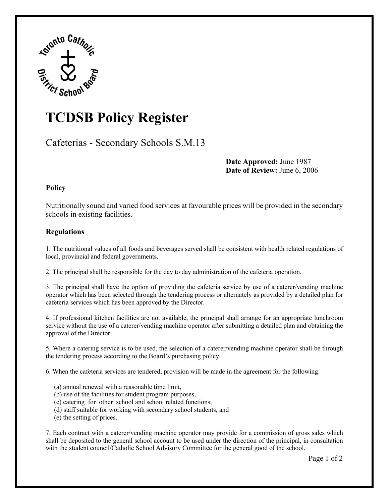

## **TCDSB Policy Register**

Cafeterias - Secondary Schools S.M.13

**Date Approved:** June 1987 **Date of Review:** June 6, 2006

## **Policy**

Nutritionally sound and varied food services at favourable prices will be provided in the secondary schools in existing facilities.

## **Regulations**

1. The nutritional values of all foods and beverages served shall be consistent with health related regulations of local, provincial and federal governments.

2. The principal shall be responsible for the day to day administration of the cafeteria operation.

3. The principal shall have the option of providing the cafeteria service by use of a caterer/vending machine operator which has been selected through the tendering process or alternately as provided by a detailed plan for cafeteria services which has been approved by the Director.

4. If professional kitchen facilities are not available, the principal shall arrange for an appropriate lunchroom service without the use of a caterer/vending machine operator after submitting a detailed plan and obtaining the approval of the Director.

5. Where a catering service is to be used, the selection of a caterer/vending machine operator shall be through the tendering process according to the Board's purchasing policy.

6. When the cafeteria services are tendered, provision will be made in the agreement for the following:

- (a) annual renewal with a reasonable time limit,
- (b) use of the facilities for student program purposes,
- (c) catering for other school and school related functions,
- (d) staff suitable for working with secondary school students, and
- (e) the setting of prices.

7. Each contract with a caterer/vending machine operator may provide for a commission of gross sales which shall be deposited to the general school account to be used under the direction of the principal, in consultation with the student council/Catholic School Advisory Committee for the general good of the school.